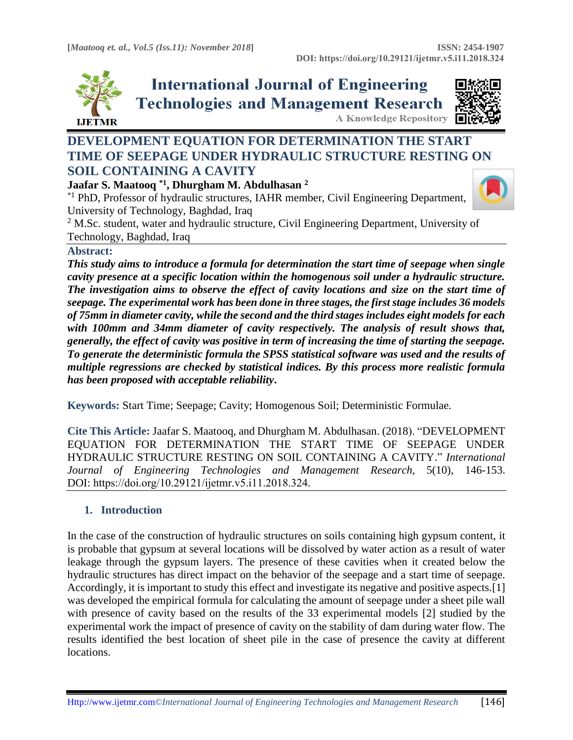

**International Journal of Engineering Technologies and Management Research** 



**A Knowledge Repository** 

# **DEVELOPMENT EQUATION FOR DETERMINATION THE START TIME OF SEEPAGE UNDER HYDRAULIC STRUCTURE RESTING ON SOIL CONTAINING A CAVITY**

**Jaafar S. Maatooq \*1, Dhurgham M. Abdulhasan <sup>2</sup>**

\*1 PhD, Professor of hydraulic structures, IAHR member, Civil Engineering Department, University of Technology, Baghdad, Iraq



 $2$  M.Sc. student, water and hydraulic structure, Civil Engineering Department, University of Technology, Baghdad, Iraq

# **Abstract:**

*This study aims to introduce a formula for determination the start time of seepage when single cavity presence at a specific location within the homogenous soil under a hydraulic structure. The investigation aims to observe the effect of cavity locations and size on the start time of seepage. The experimental work has been done in three stages, the first stage includes 36 models of 75mm in diameter cavity, while the second and the third stages includes eight models for each with 100mm and 34mm diameter of cavity respectively. The analysis of result shows that, generally, the effect of cavity was positive in term of increasing the time of starting the seepage. To generate the deterministic formula the SPSS statistical software was used and the results of multiple regressions are checked by statistical indices. By this process more realistic formula has been proposed with acceptable reliability***.**

**Keywords:** Start Time; Seepage; Cavity; Homogenous Soil; Deterministic Formulae*.* 

**Cite This Article:** Jaafar S. Maatooq, and Dhurgham M. Abdulhasan. (2018). "DEVELOPMENT EQUATION FOR DETERMINATION THE START TIME OF SEEPAGE UNDER HYDRAULIC STRUCTURE RESTING ON SOIL CONTAINING A CAVITY." *International Journal of Engineering Technologies and Management Research,* 5(10), 146-153. DOI: https://doi.org/10.29121/ijetmr.v5.i11.2018.324.

# **1. Introduction**

In the case of the construction of hydraulic structures on soils containing high gypsum content, it is probable that gypsum at several locations will be dissolved by water action as a result of water leakage through the gypsum layers. The presence of these cavities when it created below the hydraulic structures has direct impact on the behavior of the seepage and a start time of seepage. Accordingly, it is important to study this effect and investigate its negative and positive aspects.[1] was developed the empirical formula for calculating the amount of seepage under a sheet pile wall with presence of cavity based on the results of the 33 experimental models [2] studied by the experimental work the impact of presence of cavity on the stability of dam during water flow. The results identified the best location of sheet pile in the case of presence the cavity at different locations.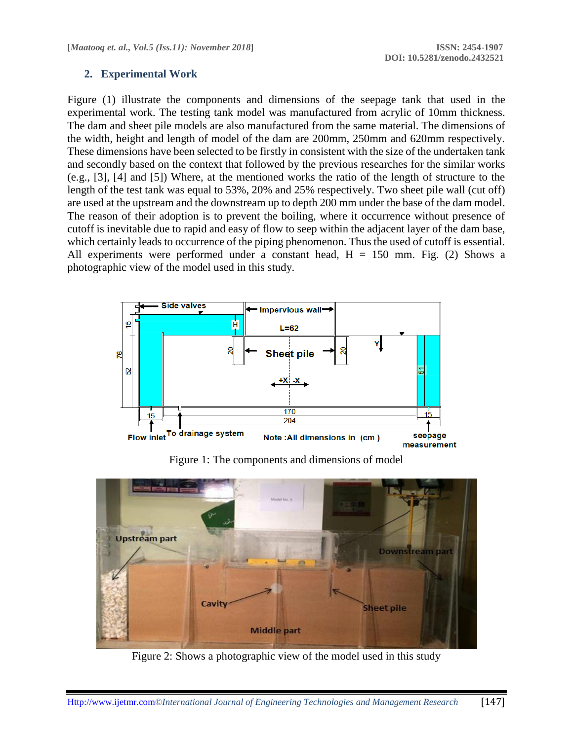## **2. Experimental Work**

Figure (1) illustrate the components and dimensions of the seepage tank that used in the experimental work. The testing tank model was manufactured from acrylic of 10mm thickness. The dam and sheet pile models are also manufactured from the same material. The dimensions of the width, height and length of model of the dam are 200mm, 250mm and 620mm respectively. These dimensions have been selected to be firstly in consistent with the size of the undertaken tank and secondly based on the context that followed by the previous researches for the similar works (e.g., [3], [4] and [5]) Where, at the mentioned works the ratio of the length of structure to the length of the test tank was equal to 53%, 20% and 25% respectively. Two sheet pile wall (cut off) are used at the upstream and the downstream up to depth 200 mm under the base of the dam model. The reason of their adoption is to prevent the boiling, where it occurrence without presence of cutoff is inevitable due to rapid and easy of flow to seep within the adjacent layer of the dam base, which certainly leads to occurrence of the piping phenomenon. Thus the used of cutoff is essential. All experiments were performed under a constant head,  $H = 150$  mm. Fig. (2) Shows a photographic view of the model used in this study.



Figure 1: The components and dimensions of model



Figure 2: Shows a photographic view of the model used in this study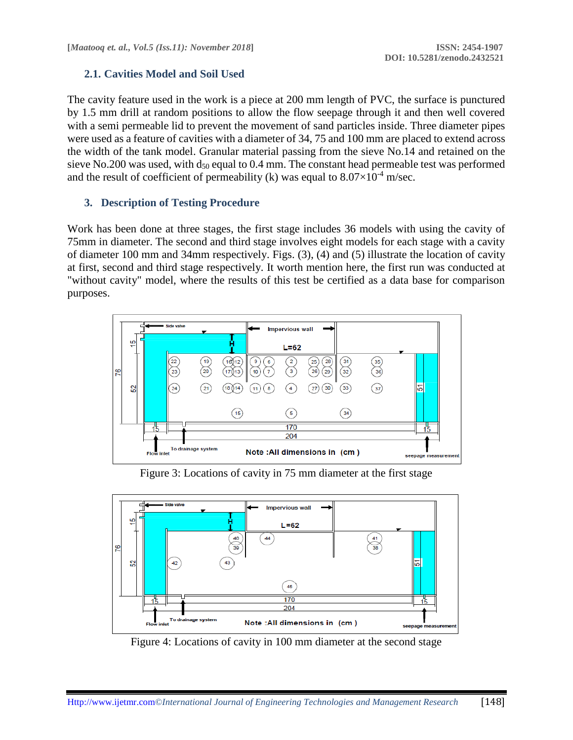# **2.1. Cavities Model and Soil Used**

The cavity feature used in the work is a piece at 200 mm length of PVC, the surface is punctured by 1.5 mm drill at random positions to allow the flow seepage through it and then well covered with a semi permeable lid to prevent the movement of sand particles inside. Three diameter pipes were used as a feature of cavities with a diameter of 34, 75 and 100 mm are placed to extend across the width of the tank model. Granular material passing from the sieve No.14 and retained on the sieve No.200 was used, with  $d_{50}$  equal to 0.4 mm. The constant head permeable test was performed and the result of coefficient of permeability (k) was equal to  $8.07\times10^{-4}$  m/sec.

# **3. Description of Testing Procedure**

Work has been done at three stages, the first stage includes 36 models with using the cavity of 75mm in diameter. The second and third stage involves eight models for each stage with a cavity of diameter 100 mm and 34mm respectively. Figs. (3), (4) and (5) illustrate the location of cavity at first, second and third stage respectively. It worth mention here, the first run was conducted at "without cavity" model, where the results of this test be certified as a data base for comparison purposes.



Figure 3: Locations of cavity in 75 mm diameter at the first stage



Figure 4: Locations of cavity in 100 mm diameter at the second stage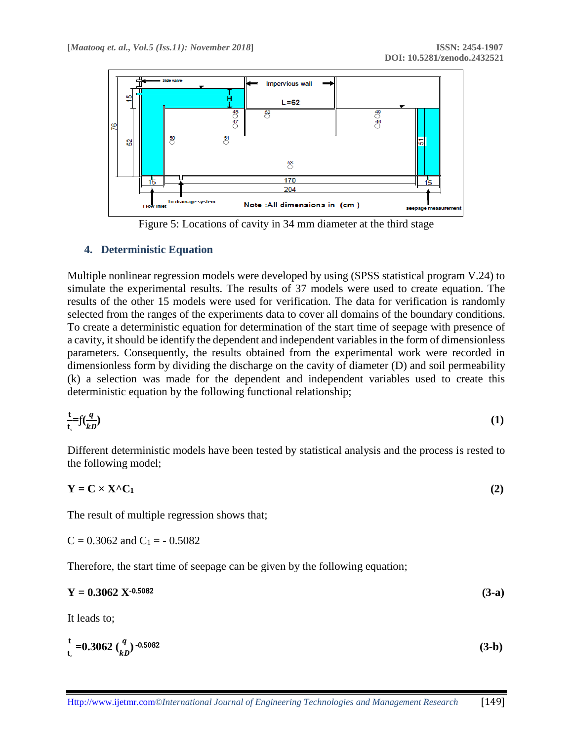

Figure 5: Locations of cavity in 34 mm diameter at the third stage

## **4. Deterministic Equation**

Multiple nonlinear regression models were developed by using (SPSS statistical program V.24) to simulate the experimental results. The results of 37 models were used to create equation. The results of the other 15 models were used for verification. The data for verification is randomly selected from the ranges of the experiments data to cover all domains of the boundary conditions. To create a deterministic equation for determination of the start time of seepage with presence of a cavity, it should be identify the dependent and independent variables in the form of dimensionless parameters. Consequently, the results obtained from the experimental work were recorded in dimensionless form by dividing the discharge on the cavity of diameter (D) and soil permeability (k) a selection was made for the dependent and independent variables used to create this deterministic equation by the following functional relationship;

$$
\frac{t}{t_c} = f(\frac{q}{kD})
$$
 (1)

Different deterministic models have been tested by statistical analysis and the process is rested to the following model;

$$
Y = C \times X^{\wedge} C_1 \tag{2}
$$

The result of multiple regression shows that;

 $C = 0.3062$  and  $C_1 = -0.5082$ 

Therefore, the start time of seepage can be given by the following equation;

| $(3-a)$ |
|---------|
|         |

It leads to;

$$
\frac{t}{t_s} = 0.3062 \left(\frac{q}{k} \right)^{-0.5082} \tag{3-b}
$$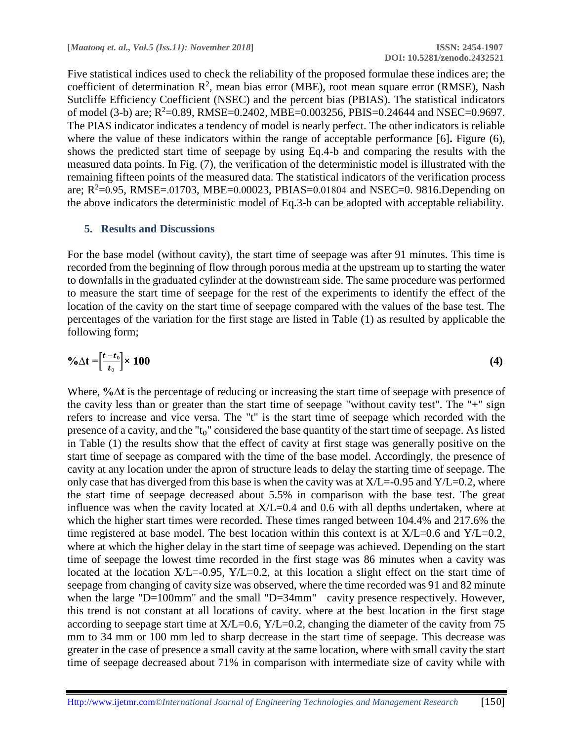Five statistical indices used to check the reliability of the proposed formulae these indices are; the coefficient of determination  $\mathbb{R}^2$ , mean bias error (MBE), root mean square error (RMSE), Nash Sutcliffe Efficiency Coefficient (NSEC) and the percent bias (PBIAS). The statistical indicators of model (3-b) are;  $R^2$ =0.89, RMSE=0.2402, MBE=0.003256, PBIS=0.24644 and NSEC=0.9697. The PIAS indicator indicates a tendency of model is nearly perfect. The other indicators is reliable where the value of these indicators within the range of acceptable performance [6]**.** Figure (6), shows the predicted start time of seepage by using Eq.4-b and comparing the results with the measured data points. In Fig. (7), the verification of the deterministic model is illustrated with the remaining fifteen points of the measured data. The statistical indicators of the verification process are;  $R^2$ =0.95, RMSE=.01703, MBE=0.00023, PBIAS=0.01804 and NSEC=0. 9816. Depending on the above indicators the deterministic model of Eq.3-b can be adopted with acceptable reliability.

#### **5. Results and Discussions**

For the base model (without cavity), the start time of seepage was after 91 minutes. This time is recorded from the beginning of flow through porous media at the upstream up to starting the water to downfalls in the graduated cylinder at the downstream side. The same procedure was performed to measure the start time of seepage for the rest of the experiments to identify the effect of the location of the cavity on the start time of seepage compared with the values of the base test. The percentages of the variation for the first stage are listed in Table (1) as resulted by applicable the following form;

$$
\% \Delta t = \left[\frac{t - t_0}{t_0}\right] \times 100
$$
 (4)

Where, **%∆t** is the percentage of reducing or increasing the start time of seepage with presence of the cavity less than or greater than the start time of seepage "without cavity test". The "**+**" sign refers to increase and vice versa. The "t" is the start time of seepage which recorded with the presence of a cavity, and the "t<sub>0</sub>" considered the base quantity of the start time of seepage. As listed in Table (1) the results show that the effect of cavity at first stage was generally positive on the start time of seepage as compared with the time of the base model. Accordingly, the presence of cavity at any location under the apron of structure leads to delay the starting time of seepage. The only case that has diverged from this base is when the cavity was at  $X/L = -0.95$  and  $Y/L = 0.2$ , where the start time of seepage decreased about 5.5% in comparison with the base test. The great influence was when the cavity located at  $X/L=0.4$  and 0.6 with all depths undertaken, where at which the higher start times were recorded. These times ranged between 104.4% and 217.6% the time registered at base model. The best location within this context is at  $X/L=0.6$  and  $Y/L=0.2$ , where at which the higher delay in the start time of seepage was achieved. Depending on the start time of seepage the lowest time recorded in the first stage was 86 minutes when a cavity was located at the location  $X/L = -0.95$ ,  $Y/L = 0.2$ , at this location a slight effect on the start time of seepage from changing of cavity size was observed, where the time recorded was 91 and 82 minute when the large "D=100mm" and the small "D=34mm" cavity presence respectively. However, this trend is not constant at all locations of cavity. where at the best location in the first stage according to seepage start time at  $X/L=0.6$ ,  $Y/L=0.2$ , changing the diameter of the cavity from 75 mm to 34 mm or 100 mm led to sharp decrease in the start time of seepage. This decrease was greater in the case of presence a small cavity at the same location, where with small cavity the start time of seepage decreased about 71% in comparison with intermediate size of cavity while with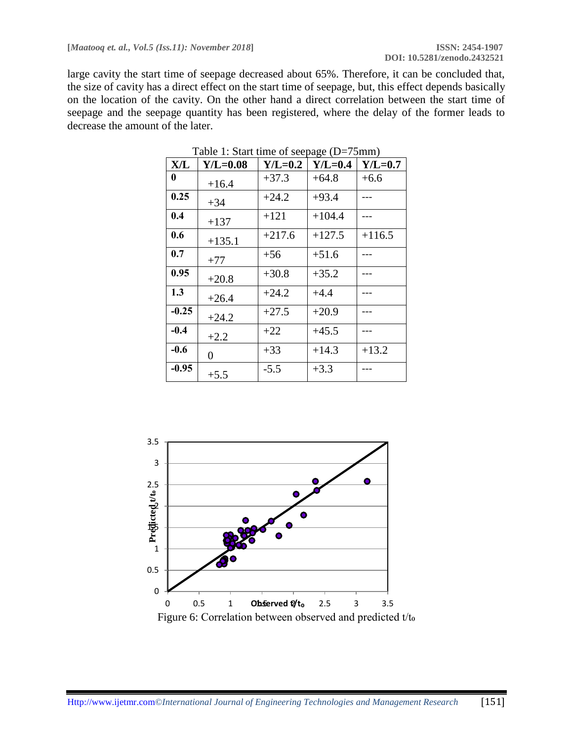large cavity the start time of seepage decreased about 65%. Therefore, it can be concluded that, the size of cavity has a direct effect on the start time of seepage, but, this effect depends basically on the location of the cavity. On the other hand a direct correlation between the start time of seepage and the seepage quantity has been registered, where the delay of the former leads to decrease the amount of the later.

| X/L     | $Y/L=0.08$ | $Y/L=0.2$ | $Y/L=0.4$ | $Y/L=0.7$ |
|---------|------------|-----------|-----------|-----------|
| 0       | $+16.4$    | $+37.3$   | $+64.8$   | $+6.6$    |
| 0.25    | $+34$      | $+24.2$   | $+93.4$   |           |
| 0.4     | $+137$     | $+121$    | $+104.4$  |           |
| 0.6     | $+135.1$   | $+217.6$  | $+127.5$  | $+116.5$  |
| 0.7     | $+77$      | $+56$     | $+51.6$   |           |
| 0.95    | $+20.8$    | $+30.8$   | $+35.2$   |           |
| 1.3     | $+26.4$    | $+24.2$   | $+4.4$    |           |
| $-0.25$ | $+24.2$    | $+27.5$   | $+20.9$   |           |
| $-0.4$  | $+2.2$     | $+22$     | $+45.5$   |           |
| $-0.6$  | 0          | $+33$     | $+14.3$   | $+13.2$   |
| $-0.95$ | $+5.5$     | $-5.5$    | $+3.3$    |           |

Table 1: Start time of seepage (D=75mm)

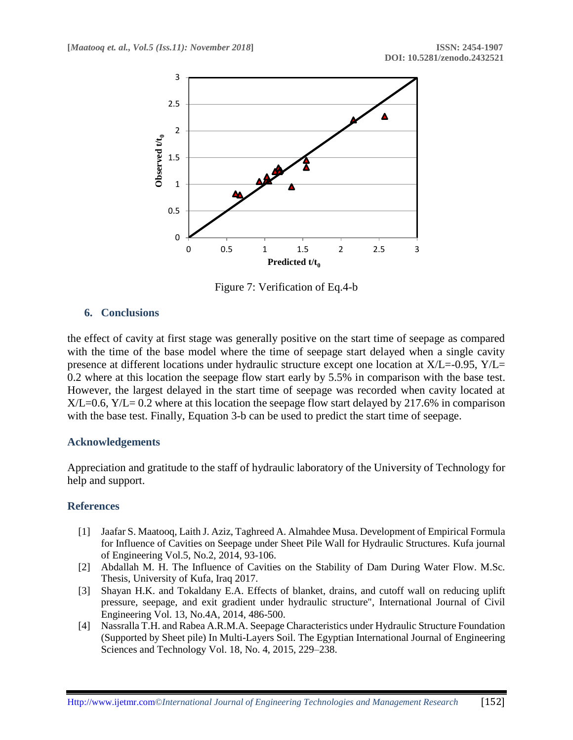

Figure 7: Verification of Eq.4-b

## **6. Conclusions**

the effect of cavity at first stage was generally positive on the start time of seepage as compared with the time of the base model where the time of seepage start delayed when a single cavity presence at different locations under hydraulic structure except one location at X/L=-0.95, Y/L= 0.2 where at this location the seepage flow start early by 5.5% in comparison with the base test. However, the largest delayed in the start time of seepage was recorded when cavity located at  $X/L=0.6$ ,  $Y/L= 0.2$  where at this location the seepage flow start delayed by 217.6% in comparison with the base test. Finally, Equation 3-b can be used to predict the start time of seepage.

#### **Acknowledgements**

Appreciation and gratitude to the staff of hydraulic laboratory of the University of Technology for help and support.

#### **References**

- [1] Jaafar S. Maatooq, Laith J. Aziz, Taghreed A. Almahdee Musa. Development of Empirical Formula for Influence of Cavities on Seepage under Sheet Pile Wall for Hydraulic Structures. Kufa journal of Engineering Vol.5, No.2, 2014, 93-106.
- [2] Abdallah M. H. The Influence of Cavities on the Stability of Dam During Water Flow. M.Sc. Thesis, University of Kufa, Iraq 2017.
- [3] Shayan H.K. and Tokaldany E.A. Effects of blanket, drains, and cutoff wall on reducing uplift pressure, seepage, and exit gradient under hydraulic structure", International Journal of Civil Engineering Vol. 13, No.4A, 2014, 486-500.
- [4] Nassralla T.H. and Rabea A.R.M.A. Seepage Characteristics under Hydraulic Structure Foundation (Supported by Sheet pile) In Multi-Layers Soil. The Egyptian International Journal of Engineering Sciences and Technology Vol. 18, No. 4, 2015, 229–238.